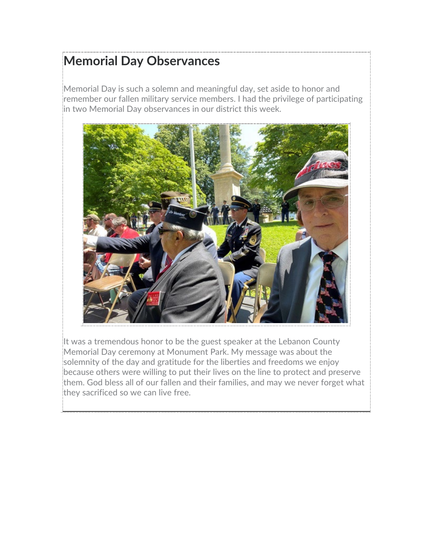### **Memorial Day Observances**

Memorial Day is such a solemn and meaningful day, set aside to honor and remember our fallen military service members. I had the privilege of participating in two Memorial Day observances in our district this week.



It was a tremendous honor to be the guest speaker at the Lebanon County Memorial Day ceremony at Monument Park. My message was about the solemnity of the day and gratitude for the liberties and freedoms we enjoy because others were willing to put their lives on the line to protect and preserve them. God bless all of our fallen and their families, and may we never forget what they sacrificed so we can live free.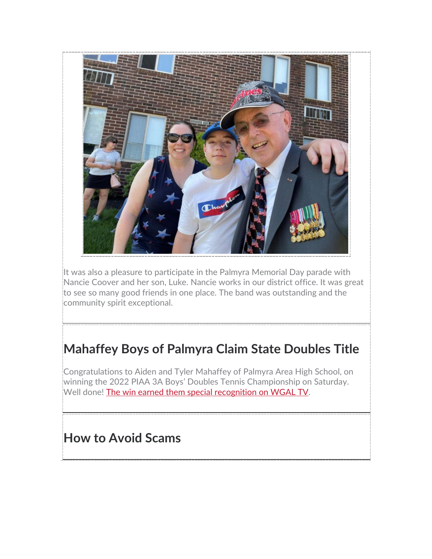

It was also a pleasure to participate in the Palmyra Memorial Day parade with Nancie Coover and her son, Luke. Nancie works in our district office. It was great to see so many good friends in one place. The band was outstanding and the community spirit exceptional.

# **Mahaffey Boys of Palmyra Claim State Doubles Title**

Congratulations to Aiden and Tyler Mahaffey of Palmyra Area High School, on winning the 2022 PIAA 3A Boys' Doubles Tennis Championship on Saturday. Well done! [The win earned them special recognition on WGAL TV.](https://youtu.be/cjjyKT-nnj0)

### **How to Avoid Scams**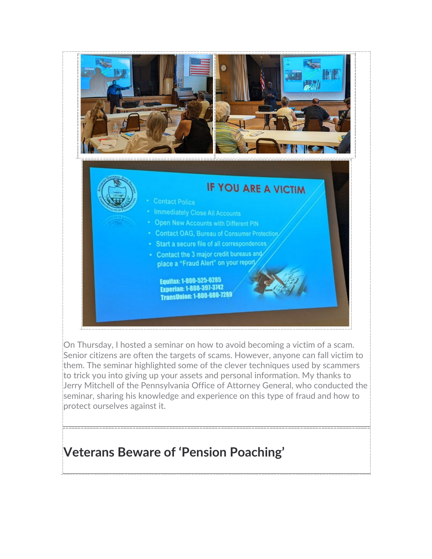

On Thursday, I hosted a seminar on how to avoid becoming a victim of a scam. Senior citizens are often the targets of scams. However, anyone can fall victim to them. The seminar highlighted some of the clever techniques used by scammers to trick you into giving up your assets and personal information. My thanks to Jerry Mitchell of the Pennsylvania Office of Attorney General, who conducted the seminar, sharing his knowledge and experience on this type of fraud and how to protect ourselves against it.

### **Veterans Beware of 'Pension Poaching'**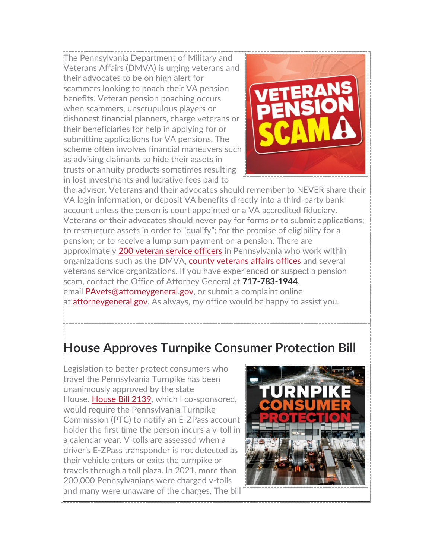The Pennsylvania Department of Military and Veterans Affairs (DMVA) is urging veterans and their advocates to be on high alert for scammers looking to poach their VA pension benefits. Veteran pension poaching occurs when scammers, unscrupulous players or dishonest financial planners, charge veterans or their beneficiaries for help in applying for or submitting applications for VA pensions. The scheme often involves financial maneuvers such as advising claimants to hide their assets in trusts or annuity products sometimes resulting in lost investments and lucrative fees paid to



the advisor. Veterans and their advocates should remember to NEVER share their VA login information, or deposit VA benefits directly into a third-party bank account unless the person is court appointed or a VA accredited fiduciary. Veterans or their advocates should never pay for forms or to submit applications; to restructure assets in order to "qualify"; for the promise of eligibility for a pension; or to receive a lump sum payment on a pension. There are approximately [200 veteran service officers](https://www.dmva.pa.gov/veteransaffairs/Documents/Veterans%20Service%20Officers/Veteran%20Service%20Officers%20Contact%20Information%20January%202021.pdf) in Pennsylvania who work within organizations such as the DMVA, [county veterans affairs offices](https://www.dmva.pa.gov/veteransaffairs/Pages/Outreach-and-Reintegration/County-Directors.aspx) and several veterans service organizations. If you have experienced or suspect a pension scam, contact the Office of Attorney General at **717-783-1944**, email **PAvets@attorneygeneral.gov**, or submit a complaint online at [attorneygeneral.gov.](https://www.attorneygeneral.gov/) As always, my office would be happy to assist you.

### **House Approves Turnpike Consumer Protection Bill**

Legislation to better protect consumers who travel the Pennsylvania Turnpike has been unanimously approved by the state House. [House Bill 2139,](https://www.legis.state.pa.us/cfdocs/billInfo/billInfo.cfm?sYear=2021&sInd=0&body=H&type=B&bn=2139) which I co-sponsored, would require the Pennsylvania Turnpike Commission (PTC) to notify an E-ZPass account holder the first time the person incurs a v-toll in a calendar year. V-tolls are assessed when a driver's E-ZPass transponder is not detected as their vehicle enters or exits the turnpike or travels through a toll plaza. In 2021, more than 200,000 Pennsylvanians were charged v-tolls and many were unaware of the charges. The bill

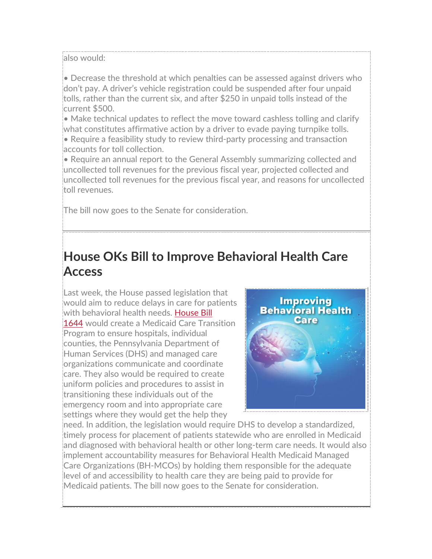also would:

• Decrease the threshold at which penalties can be assessed against drivers who don't pay. A driver's vehicle registration could be suspended after four unpaid tolls, rather than the current six, and after \$250 in unpaid tolls instead of the current \$500.

• Make technical updates to reflect the move toward cashless tolling and clarify what constitutes affirmative action by a driver to evade paying turnpike tolls.

• Require a feasibility study to review third-party processing and transaction accounts for toll collection.

• Require an annual report to the General Assembly summarizing collected and uncollected toll revenues for the previous fiscal year, projected collected and uncollected toll revenues for the previous fiscal year, and reasons for uncollected toll revenues.

The bill now goes to the Senate for consideration.

## **House OKs Bill to Improve Behavioral Health Care Access**

Last week, the House passed legislation that would aim to reduce delays in care for patients with behavioral health needs. House Bill [1644](https://www.legis.state.pa.us/cfdocs/billInfo/billInfo.cfm?sYear=2021&sInd=0&body=H&type=B&bn=1644) would create a Medicaid Care Transition Program to ensure hospitals, individual counties, the Pennsylvania Department of Human Services (DHS) and managed care organizations communicate and coordinate care. They also would be required to create uniform policies and procedures to assist in transitioning these individuals out of the emergency room and into appropriate care settings where they would get the help they



need. In addition, the legislation would require DHS to develop a standardized, timely process for placement of patients statewide who are enrolled in Medicaid and diagnosed with behavioral health or other long-term care needs. It would also implement accountability measures for Behavioral Health Medicaid Managed Care Organizations (BH-MCOs) by holding them responsible for the adequate level of and accessibility to health care they are being paid to provide for Medicaid patients. The bill now goes to the Senate for consideration.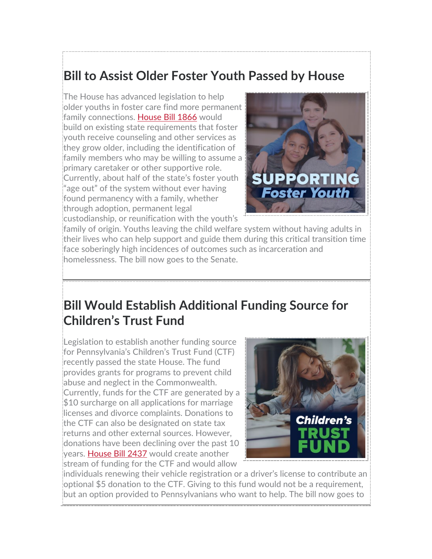### **Bill to Assist Older Foster Youth Passed by House**

The House has advanced legislation to help older youths in foster care find more permanent family connections. [House Bill 1866](https://www.legis.state.pa.us/cfdocs/billInfo/billInfo.cfm?sYear=2021&sInd=0&body=H&type=B&bn=1866) would build on existing state requirements that foster youth receive counseling and other services as they grow older, including the identification of family members who may be willing to assume a primary caretaker or other supportive role. Currently, about half of the state's foster youth "age out" of the system without ever having found permanency with a family, whether through adoption, permanent legal custodianship, or reunification with the youth's



family of origin. Youths leaving the child welfare system without having adults in their lives who can help support and guide them during this critical transition time face soberingly high incidences of outcomes such as incarceration and homelessness. The bill now goes to the Senate.

#### **Bill Would Establish Additional Funding Source for Children's Trust Fund**

Legislation to establish another funding source for Pennsylvania's Children's Trust Fund (CTF) recently passed the state House. The fund provides grants for programs to prevent child abuse and neglect in the Commonwealth. Currently, funds for the CTF are generated by a \$10 surcharge on all applications for marriage licenses and divorce complaints. Donations to the CTF can also be designated on state tax returns and other external sources. However, donations have been declining over the past 10 years. [House Bill 2437](https://www.legis.state.pa.us/cfdocs/billInfo/billInfo.cfm?sYear=2021&sInd=0&body=H&type=B&bn=2437) would create another stream of funding for the CTF and would allow



individuals renewing their vehicle registration or a driver's license to contribute an optional \$5 donation to the CTF. Giving to this fund would not be a requirement, but an option provided to Pennsylvanians who want to help. The bill now goes to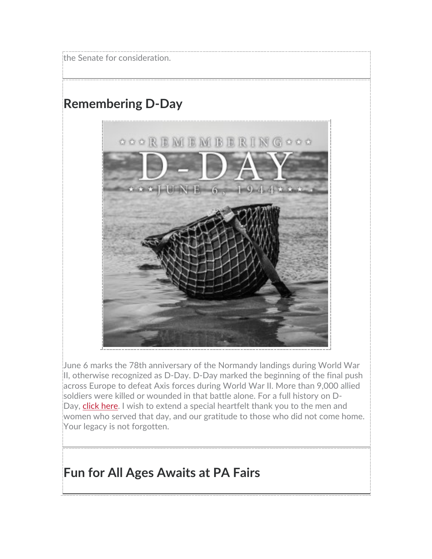the Senate for consideration.

### **Remembering D-Day**



June 6 marks the 78th anniversary of the Normandy landings during World War II, otherwise recognized as D-Day. D-Day marked the beginning of the final push across Europe to defeat Axis forces during World War II. More than 9,000 allied soldiers were killed or wounded in that battle alone. For a full history on DDay, [click here.](https://www.dday.org/) I wish to extend a special heartfelt thank you to the men and women who served that day, and our gratitude to those who did not come home. Your legacy is not forgotten.

#### **Fun for All Ages Awaits at PA Fairs**